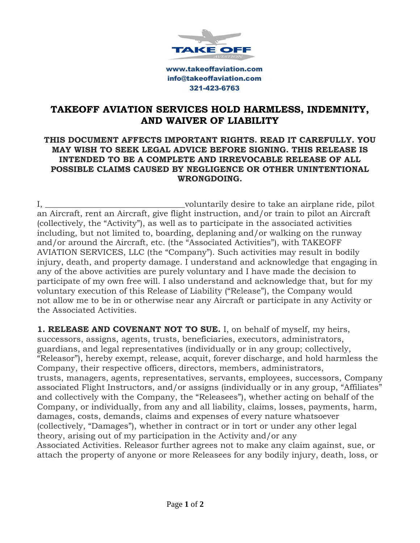

www.takeoffaviation.com info@takeoffaviation.com 321-423-6763

## **TAKEOFF AVIATION SERVICES HOLD HARMLESS, INDEMNITY, AND WAIVER OF LIABILITY**

## **THIS DOCUMENT AFFECTS IMPORTANT RIGHTS. READ IT CAREFULLY. YOU MAY WISH TO SEEK LEGAL ADVICE BEFORE SIGNING. THIS RELEASE IS INTENDED TO BE A COMPLETE AND IRREVOCABLE RELEASE OF ALL POSSIBLE CLAIMS CAUSED BY NEGLIGENCE OR OTHER UNINTENTIONAL WRONGDOING.**

I, the coluntarily desire to take an airplane ride, pilot is an airplane ride, pilot an Aircraft, rent an Aircraft, give flight instruction, and/or train to pilot an Aircraft (collectively, the "Activity"), as well as to participate in the associated activities including, but not limited to, boarding, deplaning and/or walking on the runway and/or around the Aircraft, etc. (the "Associated Activities"), with TAKEOFF AVIATION SERVICES, LLC (the "Company"). Such activities may result in bodily injury, death, and property damage. I understand and acknowledge that engaging in any of the above activities are purely voluntary and I have made the decision to participate of my own free will. I also understand and acknowledge that, but for my voluntary execution of this Release of Liability ("Release"), the Company would not allow me to be in or otherwise near any Aircraft or participate in any Activity or the Associated Activities.

**1. RELEASE AND COVENANT NOT TO SUE.** I, on behalf of myself, my heirs, successors, assigns, agents, trusts, beneficiaries, executors, administrators, guardians, and legal representatives (individually or in any group; collectively, "Releasor"), hereby exempt, release, acquit, forever discharge, and hold harmless the Company, their respective officers, directors, members, administrators, trusts, managers, agents, representatives, servants, employees, successors, Company associated Flight Instructors, and/or assigns (individually or in any group, "Affiliates" and collectively with the Company, the "Releasees"), whether acting on behalf of the Company, or individually, from any and all liability, claims, losses, payments, harm, damages, costs, demands, claims and expenses of every nature whatsoever (collectively, "Damages"), whether in contract or in tort or under any other legal theory, arising out of my participation in the Activity and/or any Associated Activities. Releasor further agrees not to make any claim against, sue, or attach the property of anyone or more Releasees for any bodily injury, death, loss, or